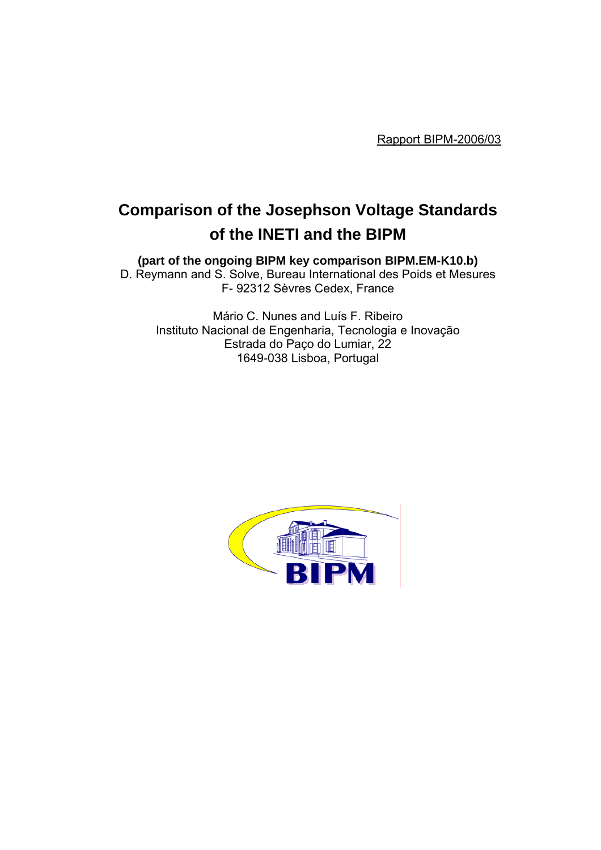Rapport BIPM-2006/03

# **Comparison of the Josephson Voltage Standards of the INETI and the BIPM**

**(part of the ongoing BIPM key comparison BIPM.EM-K10.b)**

D. Reymann and S. Solve, Bureau International des Poids et Mesures F- 92312 Sèvres Cedex, France

Mário C. Nunes and Luís F. Ribeiro Instituto Nacional de Engenharia, Tecnologia e Inovação Estrada do Paço do Lumiar, 22 1649-038 Lisboa, Portugal

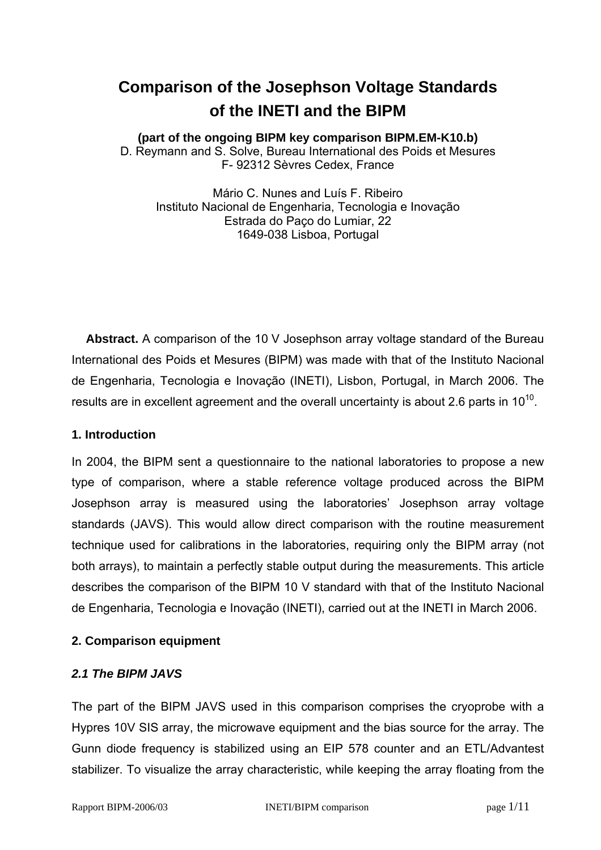# **Comparison of the Josephson Voltage Standards of the INETI and the BIPM**

## **(part of the ongoing BIPM key comparison BIPM.EM-K10.b)**

D. Reymann and S. Solve, Bureau International des Poids et Mesures F- 92312 Sèvres Cedex, France

Mário C. Nunes and Luís F. Ribeiro Instituto Nacional de Engenharia, Tecnologia e Inovação Estrada do Paço do Lumiar, 22 1649-038 Lisboa, Portugal

**Abstract.** A comparison of the 10 V Josephson array voltage standard of the Bureau International des Poids et Mesures (BIPM) was made with that of the Instituto Nacional de Engenharia, Tecnologia e Inovação (INETI), Lisbon, Portugal, in March 2006. The results are in excellent agreement and the overall uncertainty is about 2.6 parts in  $10^{10}$ .

#### **1. Introduction**

In 2004, the BIPM sent a questionnaire to the national laboratories to propose a new type of comparison, where a stable reference voltage produced across the BIPM Josephson array is measured using the laboratories' Josephson array voltage standards (JAVS). This would allow direct comparison with the routine measurement technique used for calibrations in the laboratories, requiring only the BIPM array (not both arrays), to maintain a perfectly stable output during the measurements. This article describes the comparison of the BIPM 10 V standard with that of the Instituto Nacional de Engenharia, Tecnologia e Inovação (INETI), carried out at the INETI in March 2006.

# **2. Comparison equipment**

# *2.1 The BIPM JAVS*

The part of the BIPM JAVS used in this comparison comprises the cryoprobe with a Hypres 10V SIS array, the microwave equipment and the bias source for the array. The Gunn diode frequency is stabilized using an EIP 578 counter and an ETL/Advantest stabilizer. To visualize the array characteristic, while keeping the array floating from the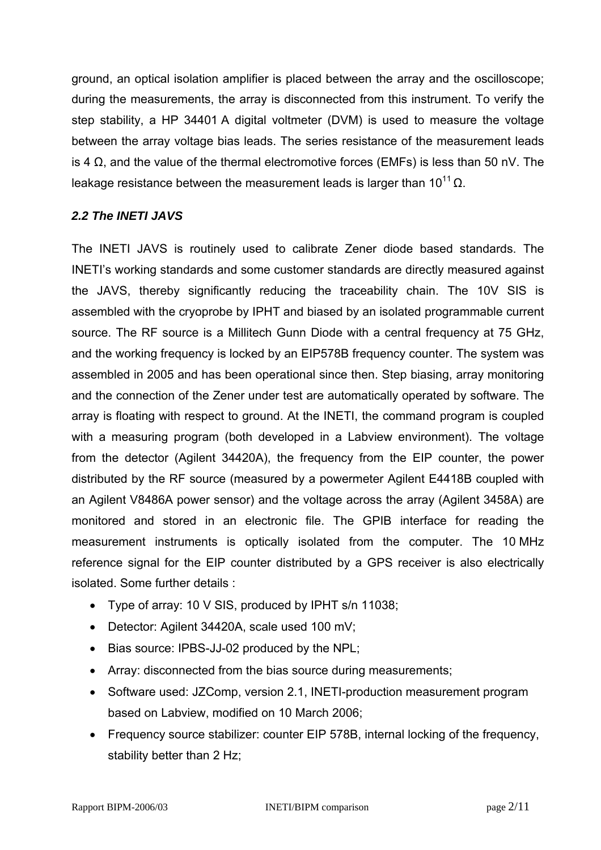ground, an optical isolation amplifier is placed between the array and the oscilloscope; during the measurements, the array is disconnected from this instrument. To verify the step stability, a HP 34401 A digital voltmeter (DVM) is used to measure the voltage between the array voltage bias leads. The series resistance of the measurement leads is 4 Ω, and the value of the thermal electromotive forces (EMFs) is less than 50 nV. The leakage resistance between the measurement leads is larger than  $10^{11}$  Ω.

# *2.2 The INETI JAVS*

The INETI JAVS is routinely used to calibrate Zener diode based standards. The INETI's working standards and some customer standards are directly measured against the JAVS, thereby significantly reducing the traceability chain. The 10V SIS is assembled with the cryoprobe by IPHT and biased by an isolated programmable current source. The RF source is a Millitech Gunn Diode with a central frequency at 75 GHz, and the working frequency is locked by an EIP578B frequency counter. The system was assembled in 2005 and has been operational since then. Step biasing, array monitoring and the connection of the Zener under test are automatically operated by software. The array is floating with respect to ground. At the INETI, the command program is coupled with a measuring program (both developed in a Labview environment). The voltage from the detector (Agilent 34420A), the frequency from the EIP counter, the power distributed by the RF source (measured by a powermeter Agilent E4418B coupled with an Agilent V8486A power sensor) and the voltage across the array (Agilent 3458A) are monitored and stored in an electronic file. The GPIB interface for reading the measurement instruments is optically isolated from the computer. The 10 MHz reference signal for the EIP counter distributed by a GPS receiver is also electrically isolated. Some further details :

- Type of array: 10 V SIS, produced by IPHT s/n 11038;
- Detector: Agilent 34420A, scale used 100 mV;
- Bias source: IPBS-JJ-02 produced by the NPL;
- Array: disconnected from the bias source during measurements;
- Software used: JZComp, version 2.1, INETI-production measurement program based on Labview, modified on 10 March 2006;
- Frequency source stabilizer: counter EIP 578B, internal locking of the frequency, stability better than 2 Hz;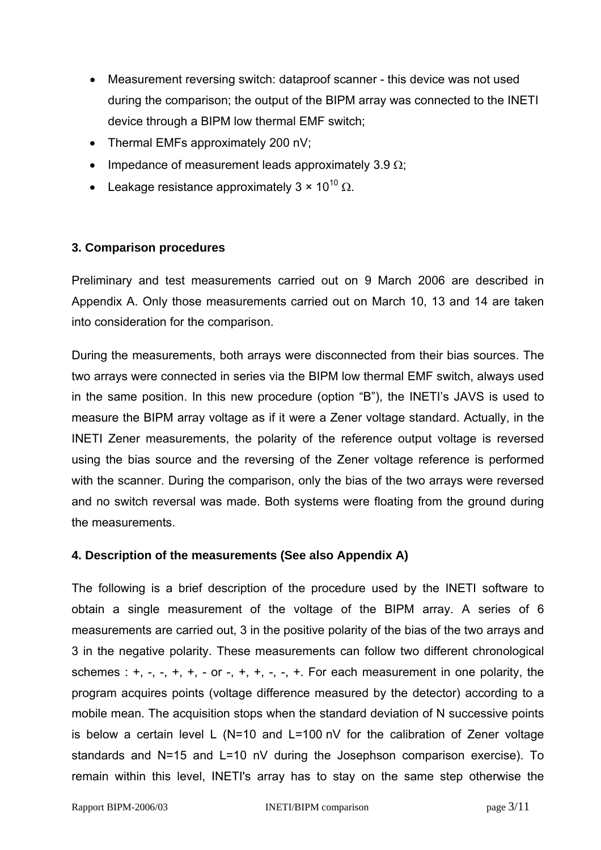- Measurement reversing switch: dataproof scanner this device was not used during the comparison; the output of the BIPM array was connected to the INETI device through a BIPM low thermal EMF switch;
- Thermal EMFs approximately 200 nV;
- Impedance of measurement leads approximately 3.9  $\Omega$ ;
- Leakage resistance approximately  $3 \times 10^{10} \Omega$ .

#### **3. Comparison procedures**

Preliminary and test measurements carried out on 9 March 2006 are described in Appendix A. Only those measurements carried out on March 10, 13 and 14 are taken into consideration for the comparison.

During the measurements, both arrays were disconnected from their bias sources. The two arrays were connected in series via the BIPM low thermal EMF switch, always used in the same position. In this new procedure (option "B"), the INETI's JAVS is used to measure the BIPM array voltage as if it were a Zener voltage standard. Actually, in the INETI Zener measurements, the polarity of the reference output voltage is reversed using the bias source and the reversing of the Zener voltage reference is performed with the scanner. During the comparison, only the bias of the two arrays were reversed and no switch reversal was made. Both systems were floating from the ground during the measurements.

# **4. Description of the measurements (See also Appendix A)**

The following is a brief description of the procedure used by the INETI software to obtain a single measurement of the voltage of the BIPM array. A series of 6 measurements are carried out, 3 in the positive polarity of the bias of the two arrays and 3 in the negative polarity. These measurements can follow two different chronological schemes :  $+, -, -, +, +, -$  or  $-, +, +, -, -, +$ . For each measurement in one polarity, the program acquires points (voltage difference measured by the detector) according to a mobile mean. The acquisition stops when the standard deviation of N successive points is below a certain level L (N=10 and L=100 nV for the calibration of Zener voltage standards and N=15 and L=10 nV during the Josephson comparison exercise). To remain within this level, INETI's array has to stay on the same step otherwise the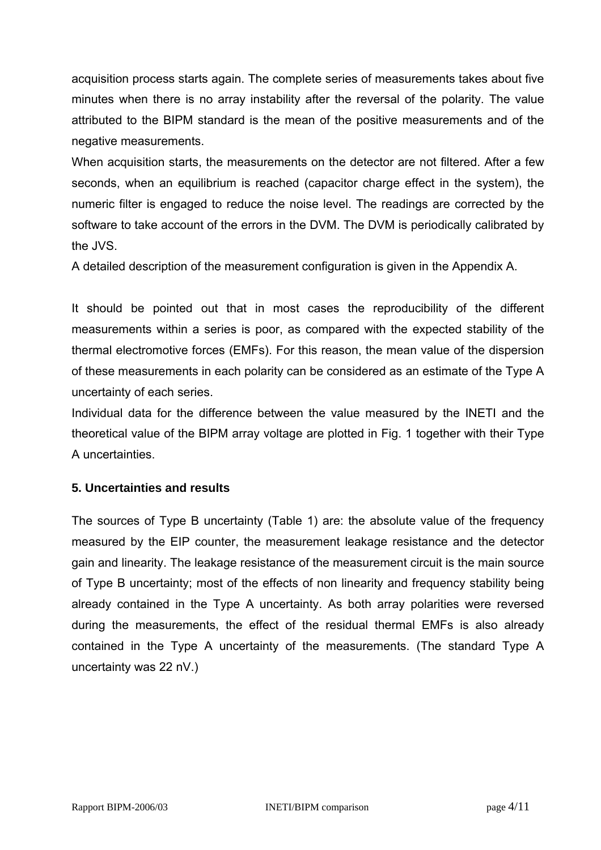acquisition process starts again. The complete series of measurements takes about five minutes when there is no array instability after the reversal of the polarity. The value attributed to the BIPM standard is the mean of the positive measurements and of the negative measurements.

When acquisition starts, the measurements on the detector are not filtered. After a few seconds, when an equilibrium is reached (capacitor charge effect in the system), the numeric filter is engaged to reduce the noise level. The readings are corrected by the software to take account of the errors in the DVM. The DVM is periodically calibrated by the JVS.

A detailed description of the measurement configuration is given in the Appendix A.

It should be pointed out that in most cases the reproducibility of the different measurements within a series is poor, as compared with the expected stability of the thermal electromotive forces (EMFs). For this reason, the mean value of the dispersion of these measurements in each polarity can be considered as an estimate of the Type A uncertainty of each series.

Individual data for the difference between the value measured by the INETI and the theoretical value of the BIPM array voltage are plotted in Fig. 1 together with their Type A uncertainties.

# **5. Uncertainties and results**

The sources of Type B uncertainty (Table 1) are: the absolute value of the frequency measured by the EIP counter, the measurement leakage resistance and the detector gain and linearity. The leakage resistance of the measurement circuit is the main source of Type B uncertainty; most of the effects of non linearity and frequency stability being already contained in the Type A uncertainty. As both array polarities were reversed during the measurements, the effect of the residual thermal EMFs is also already contained in the Type A uncertainty of the measurements. (The standard Type A uncertainty was 22 nV.)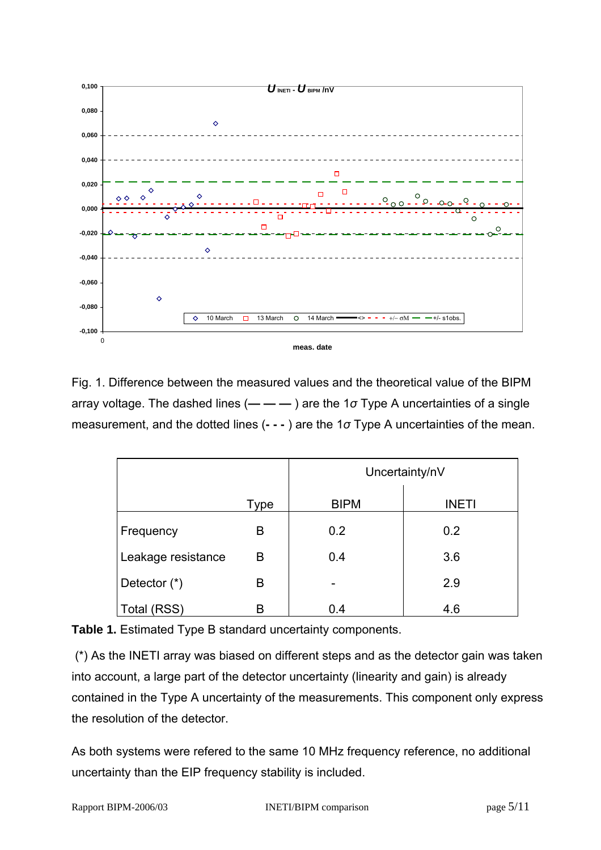

Fig. 1. Difference between the measured values and the theoretical value of the BIPM array voltage. The dashed lines (**— — —** ) are the 1*σ* Type A uncertainties of a single measurement, and the dotted lines (**- - -** ) are the 1*σ* Type A uncertainties of the mean.

|                    |      | Uncertainty/nV |              |
|--------------------|------|----------------|--------------|
|                    | Type | <b>BIPM</b>    | <b>INETI</b> |
| Frequency          | B    | 0.2            | 0.2          |
| Leakage resistance | В    | 0.4            | 3.6          |
| Detector $(*)$     | B    | -              | 2.9          |
| Total (RSS)        | B    | 0.4            | 4.6          |

**Table 1.** Estimated Type B standard uncertainty components.

 (\*) As the INETI array was biased on different steps and as the detector gain was taken into account, a large part of the detector uncertainty (linearity and gain) is already contained in the Type A uncertainty of the measurements. This component only express the resolution of the detector.

As both systems were refered to the same 10 MHz frequency reference, no additional uncertainty than the EIP frequency stability is included.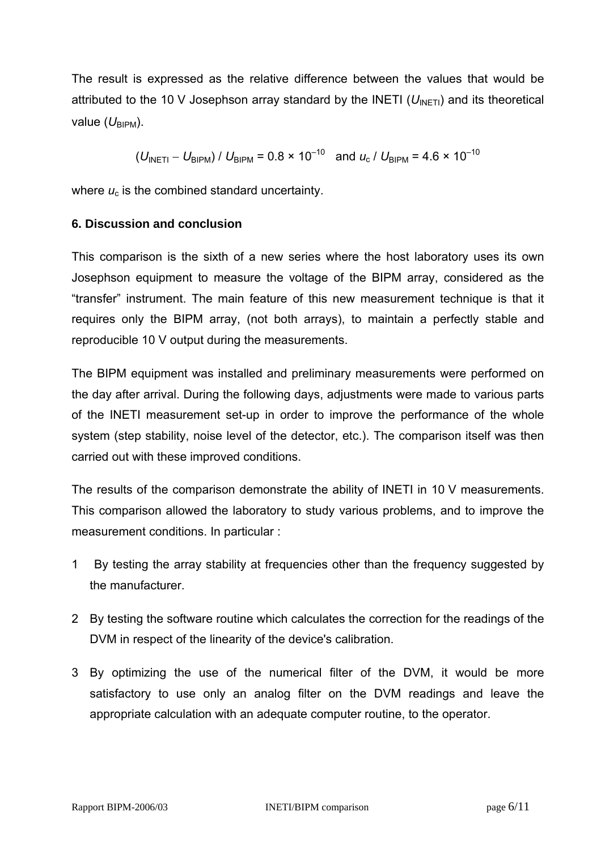The result is expressed as the relative difference between the values that would be attributed to the 10 V Josephson array standard by the INETI ( $U_{\text{INFT}}$ ) and its theoretical value  $(U_{\text{BIPM}})$ .

$$
(U_{\text{INETI}} - U_{\text{BIPM}}) / U_{\text{BIPM}} = 0.8 \times 10^{-10}
$$
 and  $u_c / U_{\text{BIPM}} = 4.6 \times 10^{-10}$ 

where  $u_c$  is the combined standard uncertainty.

#### **6. Discussion and conclusion**

This comparison is the sixth of a new series where the host laboratory uses its own Josephson equipment to measure the voltage of the BIPM array, considered as the "transfer" instrument. The main feature of this new measurement technique is that it requires only the BIPM array, (not both arrays), to maintain a perfectly stable and reproducible 10 V output during the measurements.

The BIPM equipment was installed and preliminary measurements were performed on the day after arrival. During the following days, adjustments were made to various parts of the INETI measurement set-up in order to improve the performance of the whole system (step stability, noise level of the detector, etc.). The comparison itself was then carried out with these improved conditions.

The results of the comparison demonstrate the ability of INETI in 10 V measurements. This comparison allowed the laboratory to study various problems, and to improve the measurement conditions. In particular :

- 1 By testing the array stability at frequencies other than the frequency suggested by the manufacturer.
- 2 By testing the software routine which calculates the correction for the readings of the DVM in respect of the linearity of the device's calibration.
- 3 By optimizing the use of the numerical filter of the DVM, it would be more satisfactory to use only an analog filter on the DVM readings and leave the appropriate calculation with an adequate computer routine, to the operator.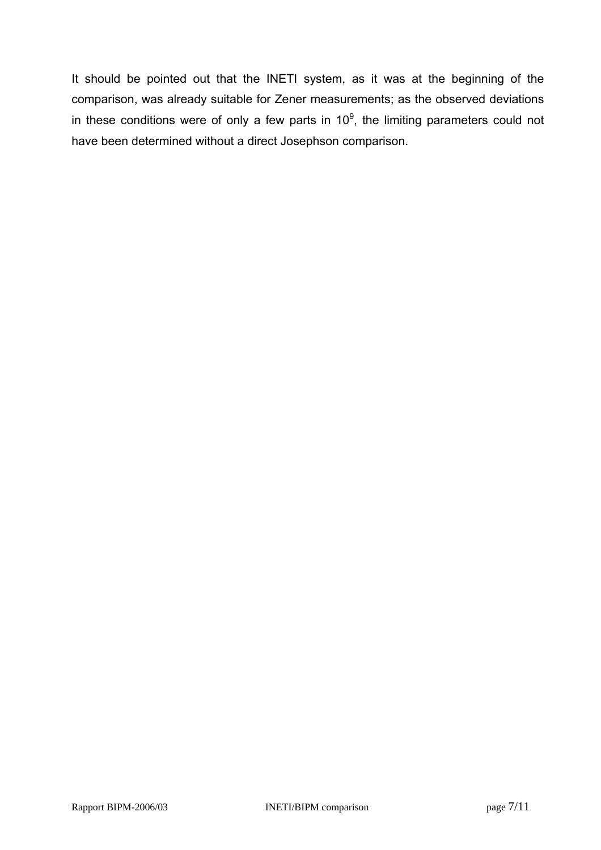It should be pointed out that the INETI system, as it was at the beginning of the comparison, was already suitable for Zener measurements; as the observed deviations in these conditions were of only a few parts in 10<sup>9</sup>, the limiting parameters could not have been determined without a direct Josephson comparison.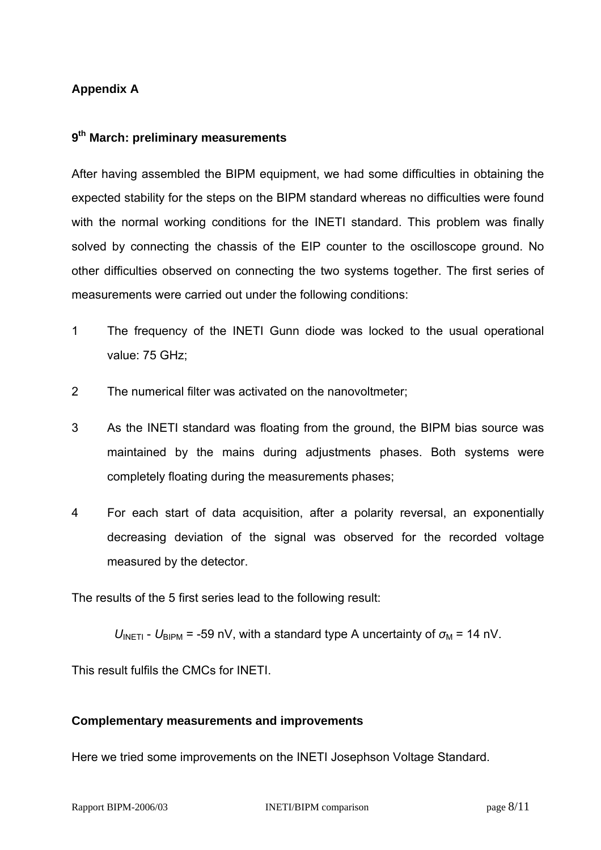# **Appendix A**

#### **9th March: preliminary measurements**

After having assembled the BIPM equipment, we had some difficulties in obtaining the expected stability for the steps on the BIPM standard whereas no difficulties were found with the normal working conditions for the INETI standard. This problem was finally solved by connecting the chassis of the EIP counter to the oscilloscope ground. No other difficulties observed on connecting the two systems together. The first series of measurements were carried out under the following conditions:

- 1 The frequency of the INETI Gunn diode was locked to the usual operational value: 75 GHz;
- 2 The numerical filter was activated on the nanovoltmeter;
- 3 As the INETI standard was floating from the ground, the BIPM bias source was maintained by the mains during adjustments phases. Both systems were completely floating during the measurements phases;
- 4 For each start of data acquisition, after a polarity reversal, an exponentially decreasing deviation of the signal was observed for the recorded voltage measured by the detector.

The results of the 5 first series lead to the following result:

 $U_{\text{INFTI}}$  -  $U_{\text{BIPM}}$  = -59 nV, with a standard type A uncertainty of  $\sigma_{\text{M}}$  = 14 nV.

This result fulfils the CMCs for INETI.

#### **Complementary measurements and improvements**

Here we tried some improvements on the INETI Josephson Voltage Standard.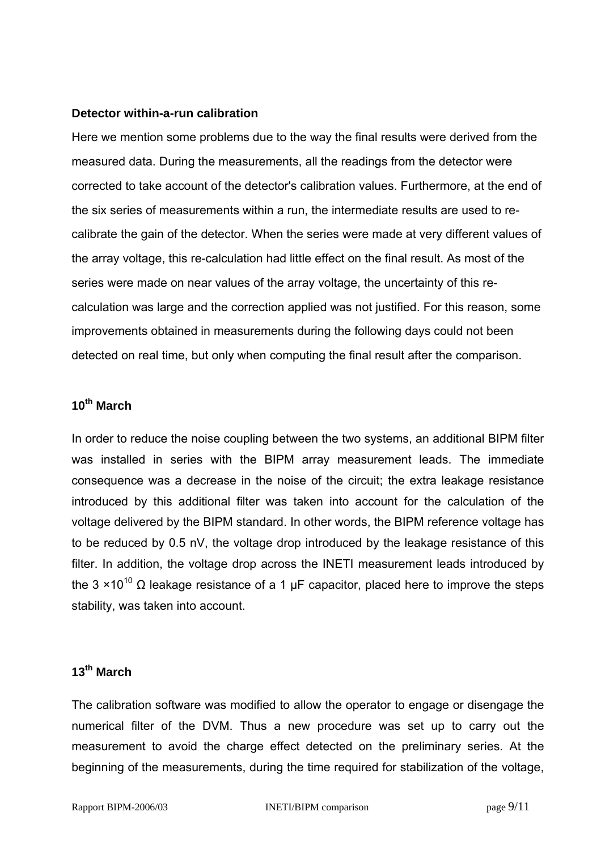#### **Detector within-a-run calibration**

Here we mention some problems due to the way the final results were derived from the measured data. During the measurements, all the readings from the detector were corrected to take account of the detector's calibration values. Furthermore, at the end of the six series of measurements within a run, the intermediate results are used to recalibrate the gain of the detector. When the series were made at very different values of the array voltage, this re-calculation had little effect on the final result. As most of the series were made on near values of the array voltage, the uncertainty of this recalculation was large and the correction applied was not justified. For this reason, some improvements obtained in measurements during the following days could not been detected on real time, but only when computing the final result after the comparison.

# **10th March**

In order to reduce the noise coupling between the two systems, an additional BIPM filter was installed in series with the BIPM array measurement leads. The immediate consequence was a decrease in the noise of the circuit; the extra leakage resistance introduced by this additional filter was taken into account for the calculation of the voltage delivered by the BIPM standard. In other words, the BIPM reference voltage has to be reduced by 0.5 nV, the voltage drop introduced by the leakage resistance of this filter. In addition, the voltage drop across the INETI measurement leads introduced by the 3 ×10<sup>10</sup> Ω leakage resistance of a 1 µF capacitor, placed here to improve the steps stability, was taken into account.

## **13th March**

The calibration software was modified to allow the operator to engage or disengage the numerical filter of the DVM. Thus a new procedure was set up to carry out the measurement to avoid the charge effect detected on the preliminary series. At the beginning of the measurements, during the time required for stabilization of the voltage,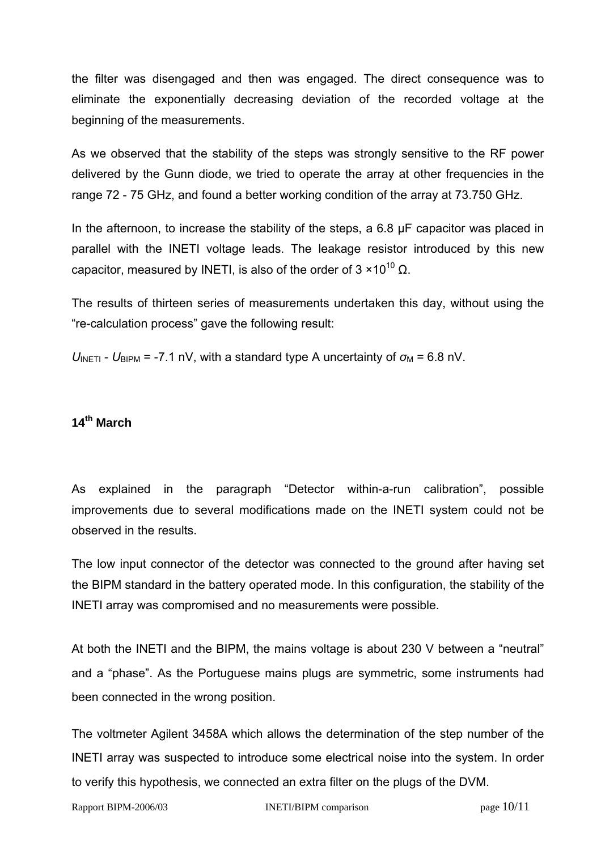the filter was disengaged and then was engaged. The direct consequence was to eliminate the exponentially decreasing deviation of the recorded voltage at the beginning of the measurements.

As we observed that the stability of the steps was strongly sensitive to the RF power delivered by the Gunn diode, we tried to operate the array at other frequencies in the range 72 - 75 GHz, and found a better working condition of the array at 73.750 GHz.

In the afternoon, to increase the stability of the steps, a 6.8 µF capacitor was placed in parallel with the INETI voltage leads. The leakage resistor introduced by this new capacitor, measured by INETI, is also of the order of  $3 \times 10^{10}$  Ω.

The results of thirteen series of measurements undertaken this day, without using the "re-calculation process" gave the following result:

 $U_{\text{INETI}}$  -  $U_{\text{BIPM}}$  = -7.1 nV, with a standard type A uncertainty of  $\sigma_{\text{M}}$  = 6.8 nV.

# **14th March**

As explained in the paragraph "Detector within-a-run calibration", possible improvements due to several modifications made on the INETI system could not be observed in the results.

The low input connector of the detector was connected to the ground after having set the BIPM standard in the battery operated mode. In this configuration, the stability of the INETI array was compromised and no measurements were possible.

At both the INETI and the BIPM, the mains voltage is about 230 V between a "neutral" and a "phase". As the Portuguese mains plugs are symmetric, some instruments had been connected in the wrong position.

The voltmeter Agilent 3458A which allows the determination of the step number of the INETI array was suspected to introduce some electrical noise into the system. In order to verify this hypothesis, we connected an extra filter on the plugs of the DVM.